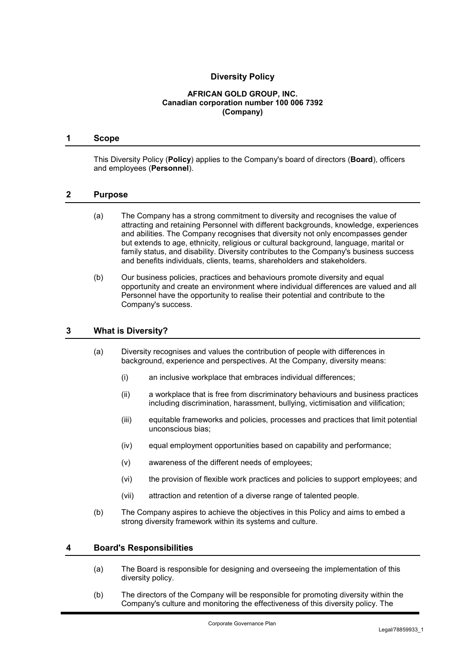# **Diversity Policy**

#### **AFRICAN GOLD GROUP, INC. Canadian corporation number 100 006 7392 (Company)**

#### **1 Scope**

This Diversity Policy (**Policy**) applies to the Company's board of directors (**Board**), officers and employees (**Personnel**).

#### **2 Purpose**

- (a) The Company has a strong commitment to diversity and recognises the value of attracting and retaining Personnel with different backgrounds, knowledge, experiences and abilities. The Company recognises that diversity not only encompasses gender but extends to age, ethnicity, religious or cultural background, language, marital or family status, and disability. Diversity contributes to the Company's business success and benefits individuals, clients, teams, shareholders and stakeholders.
- (b) Our business policies, practices and behaviours promote diversity and equal opportunity and create an environment where individual differences are valued and all Personnel have the opportunity to realise their potential and contribute to the Company's success.

#### **3 What is Diversity?**

- (a) Diversity recognises and values the contribution of people with differences in background, experience and perspectives. At the Company, diversity means:
	- (i) an inclusive workplace that embraces individual differences;
	- (ii) a workplace that is free from discriminatory behaviours and business practices including discrimination, harassment, bullying, victimisation and vilification;
	- (iii) equitable frameworks and policies, processes and practices that limit potential unconscious bias;
	- (iv) equal employment opportunities based on capability and performance;
	- (v) awareness of the different needs of employees;
	- (vi) the provision of flexible work practices and policies to support employees; and
	- (vii) attraction and retention of a diverse range of talented people.
- (b) The Company aspires to achieve the objectives in this Policy and aims to embed a strong diversity framework within its systems and culture.

#### **4 Board's Responsibilities**

- (a) The Board is responsible for designing and overseeing the implementation of this diversity policy.
- (b) The directors of the Company will be responsible for promoting diversity within the Company's culture and monitoring the effectiveness of this diversity policy. The